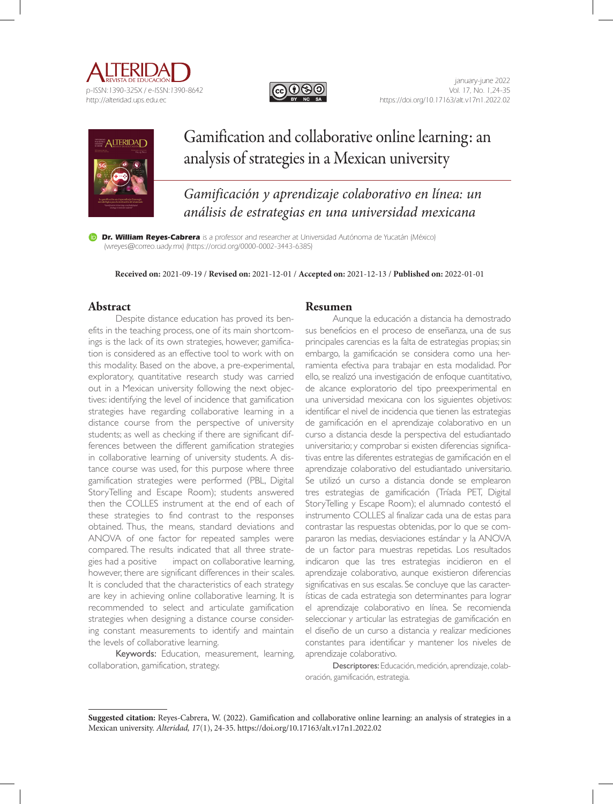





# Gamification and collaborative online learning: an analysis of strategies in a Mexican university

*Gamificación y aprendizaje colaborativo en línea: un análisis de estrategias en una universidad mexicana*

**Dr. William Reyes-Cabrera** is a professor and researcher at Universidad Autónoma de Yucatán (México) (wreyes@correo.uady.mx) (https://orcid.org/0000-0002-3443-6385)

**Received on:** 2021-09-19 / **Revised on:** 2021-12-01 / **Accepted on:** 2021-12-13 / **Published on:** 2022-01-01

# **Abstract**

Despite distance education has proved its benefits in the teaching process, one of its main shortcomings is the lack of its own strategies, however, gamification is considered as an effective tool to work with on this modality. Based on the above, a pre-experimental, exploratory, quantitative research study was carried out in a Mexican university following the next objectives: identifying the level of incidence that gamification strategies have regarding collaborative learning in a distance course from the perspective of university students; as well as checking if there are significant differences between the different gamification strategies in collaborative learning of university students. A distance course was used, for this purpose where three gamification strategies were performed (PBL, Digital StoryTelling and Escape Room); students answered then the COLLES instrument at the end of each of these strategies to find contrast to the responses obtained. Thus, the means, standard deviations and ANOVA of one factor for repeated samples were compared. The results indicated that all three strategies had a positive impact on collaborative learning, however, there are significant differences in their scales. It is concluded that the characteristics of each strategy are key in achieving online collaborative learning. It is recommended to select and articulate gamification strategies when designing a distance course considering constant measurements to identify and maintain the levels of collaborative learning.

Keywords: Education, measurement, learning, collaboration, gamification, strategy.

#### **Resumen**

Aunque la educación a distancia ha demostrado sus beneficios en el proceso de enseñanza, una de sus principales carencias es la falta de estrategias propias; sin embargo, la gamificación se considera como una herramienta efectiva para trabajar en esta modalidad. Por ello, se realizó una investigación de enfoque cuantitativo, de alcance exploratorio del tipo preexperimental en una universidad mexicana con los siguientes objetivos: identificar el nivel de incidencia que tienen las estrategias de gamificación en el aprendizaje colaborativo en un curso a distancia desde la perspectiva del estudiantado universitario; y comprobar si existen diferencias significativas entre las diferentes estrategias de gamificación en el aprendizaje colaborativo del estudiantado universitario. Se utilizó un curso a distancia donde se emplearon tres estrategias de gamificación (Tríada PET, Digital StoryTelling y Escape Room); el alumnado contestó el instrumento COLLES al finalizar cada una de estas para contrastar las respuestas obtenidas, por lo que se compararon las medias, desviaciones estándar y la ANOVA de un factor para muestras repetidas. Los resultados indicaron que las tres estrategias incidieron en el aprendizaje colaborativo, aunque existieron diferencias significativas en sus escalas. Se concluye que las características de cada estrategia son determinantes para lograr el aprendizaje colaborativo en línea. Se recomienda seleccionar y articular las estrategias de gamificación en el diseño de un curso a distancia y realizar mediciones constantes para identificar y mantener los niveles de aprendizaje colaborativo.

Descriptores: Educación, medición, aprendizaje, colaboración, gamificación, estrategia.

**Suggested citation:** Reyes-Cabrera, W. (2022). Gamification and collaborative online learning: an analysis of strategies in a Mexican university. *Alteridad, 1*7(1), 24-35. https://doi.org/10.17163/alt.v17n1.2022.02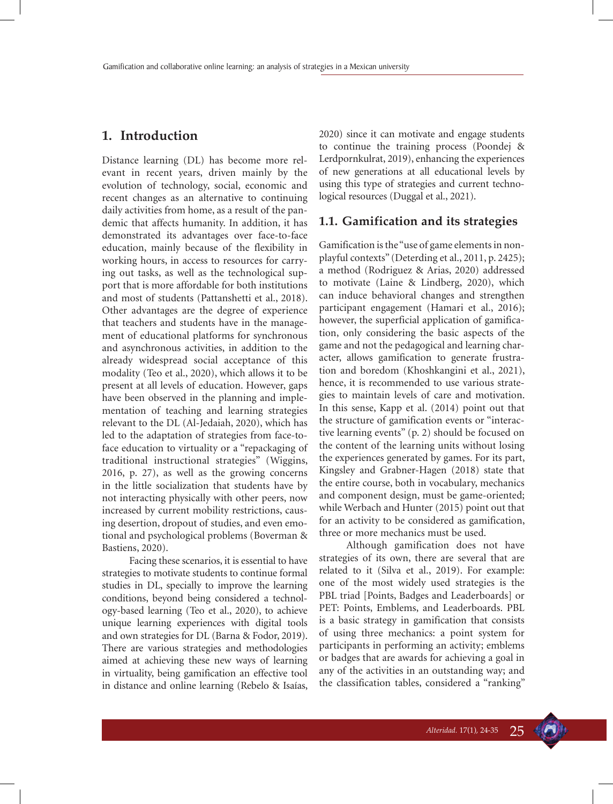# **1. Introduction**

Distance learning (DL) has become more relevant in recent years, driven mainly by the evolution of technology, social, economic and recent changes as an alternative to continuing daily activities from home, as a result of the pandemic that affects humanity. In addition, it has demonstrated its advantages over face-to-face education, mainly because of the flexibility in working hours, in access to resources for carrying out tasks, as well as the technological support that is more affordable for both institutions and most of students (Pattanshetti et al., 2018). Other advantages are the degree of experience that teachers and students have in the management of educational platforms for synchronous and asynchronous activities, in addition to the already widespread social acceptance of this modality (Teo et al., 2020), which allows it to be present at all levels of education. However, gaps have been observed in the planning and implementation of teaching and learning strategies relevant to the DL (Al-Jedaiah, 2020), which has led to the adaptation of strategies from face-toface education to virtuality or a "repackaging of traditional instructional strategies" (Wiggins, 2016, p. 27), as well as the growing concerns in the little socialization that students have by not interacting physically with other peers, now increased by current mobility restrictions, causing desertion, dropout of studies, and even emotional and psychological problems (Boverman & Bastiens, 2020).

Facing these scenarios, it is essential to have strategies to motivate students to continue formal studies in DL, specially to improve the learning conditions, beyond being considered a technology-based learning (Teo et al., 2020), to achieve unique learning experiences with digital tools and own strategies for DL (Barna & Fodor, 2019). There are various strategies and methodologies aimed at achieving these new ways of learning in virtuality, being gamification an effective tool in distance and online learning (Rebelo & Isaías, 2020) since it can motivate and engage students to continue the training process (Poondej & Lerdpornkulrat, 2019), enhancing the experiences of new generations at all educational levels by using this type of strategies and current technological resources (Duggal et al., 2021).

#### **1.1. Gamification and its strategies**

Gamification is the "use of game elements in nonplayful contexts" (Deterding et al., 2011, p. 2425); a method (Rodriguez & Arias, 2020) addressed to motivate (Laine & Lindberg, 2020), which can induce behavioral changes and strengthen participant engagement (Hamari et al., 2016); however, the superficial application of gamification, only considering the basic aspects of the game and not the pedagogical and learning character, allows gamification to generate frustration and boredom (Khoshkangini et al., 2021), hence, it is recommended to use various strategies to maintain levels of care and motivation. In this sense, Kapp et al. (2014) point out that the structure of gamification events or "interactive learning events" (p. 2) should be focused on the content of the learning units without losing the experiences generated by games. For its part, Kingsley and Grabner-Hagen (2018) state that the entire course, both in vocabulary, mechanics and component design, must be game-oriented; while Werbach and Hunter (2015) point out that for an activity to be considered as gamification, three or more mechanics must be used.

Although gamification does not have strategies of its own, there are several that are related to it (Silva et al., 2019). For example: one of the most widely used strategies is the PBL triad [Points, Badges and Leaderboards] or PET: Points, Emblems, and Leaderboards. PBL is a basic strategy in gamification that consists of using three mechanics: a point system for participants in performing an activity; emblems or badges that are awards for achieving a goal in any of the activities in an outstanding way; and the classification tables, considered a "ranking"

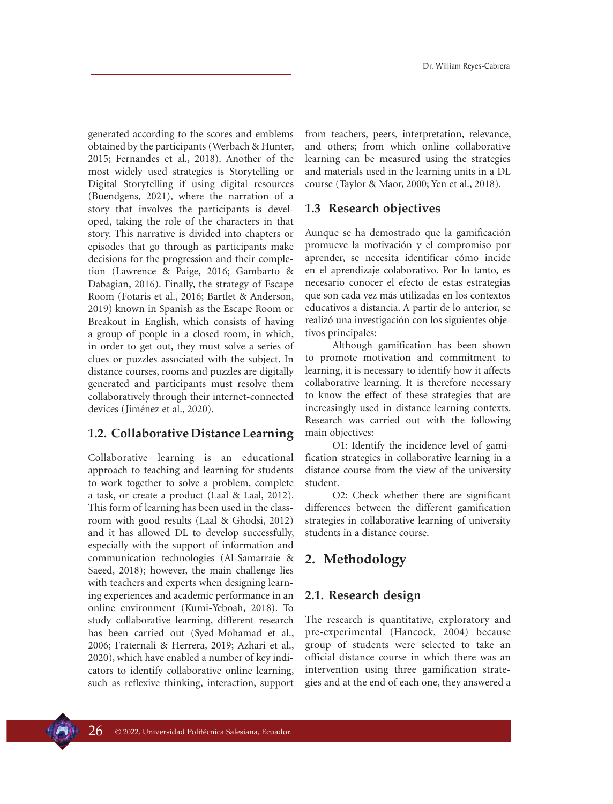generated according to the scores and emblems obtained by the participants (Werbach & Hunter, 2015; Fernandes et al., 2018). Another of the most widely used strategies is Storytelling or Digital Storytelling if using digital resources (Buendgens, 2021), where the narration of a story that involves the participants is developed, taking the role of the characters in that story. This narrative is divided into chapters or episodes that go through as participants make decisions for the progression and their completion (Lawrence & Paige, 2016; Gambarto & Dabagian, 2016). Finally, the strategy of Escape Room (Fotaris et al., 2016; Bartlet & Anderson, 2019) known in Spanish as the Escape Room or Breakout in English, which consists of having a group of people in a closed room, in which, in order to get out, they must solve a series of clues or puzzles associated with the subject. In distance courses, rooms and puzzles are digitally generated and participants must resolve them collaboratively through their internet-connected devices (Jiménez et al., 2020).

# **1.2. Collaborative Distance Learning**

Collaborative learning is an educational approach to teaching and learning for students to work together to solve a problem, complete a task, or create a product (Laal & Laal, 2012). This form of learning has been used in the classroom with good results (Laal & Ghodsi, 2012) and it has allowed DL to develop successfully, especially with the support of information and communication technologies (Al-Samarraie & Saeed, 2018); however, the main challenge lies with teachers and experts when designing learning experiences and academic performance in an online environment (Kumi-Yeboah, 2018). To study collaborative learning, different research has been carried out (Syed-Mohamad et al., 2006; Fraternali & Herrera, 2019; Azhari et al., 2020), which have enabled a number of key indicators to identify collaborative online learning, such as reflexive thinking, interaction, support from teachers, peers, interpretation, relevance, and others; from which online collaborative learning can be measured using the strategies and materials used in the learning units in a DL course (Taylor & Maor, 2000; Yen et al., 2018).

# **1.3 Research objectives**

Aunque se ha demostrado que la gamificación promueve la motivación y el compromiso por aprender, se necesita identificar cómo incide en el aprendizaje colaborativo. Por lo tanto, es necesario conocer el efecto de estas estrategias que son cada vez más utilizadas en los contextos educativos a distancia. A partir de lo anterior, se realizó una investigación con los siguientes objetivos principales:

Although gamification has been shown to promote motivation and commitment to learning, it is necessary to identify how it affects collaborative learning. It is therefore necessary to know the effect of these strategies that are increasingly used in distance learning contexts. Research was carried out with the following main objectives:

O1: Identify the incidence level of gamification strategies in collaborative learning in a distance course from the view of the university student.

O2: Check whether there are significant differences between the different gamification strategies in collaborative learning of university students in a distance course.

# **2. Methodology**

# **2.1. Research design**

The research is quantitative, exploratory and pre-experimental (Hancock, 2004) because group of students were selected to take an official distance course in which there was an intervention using three gamification strategies and at the end of each one, they answered a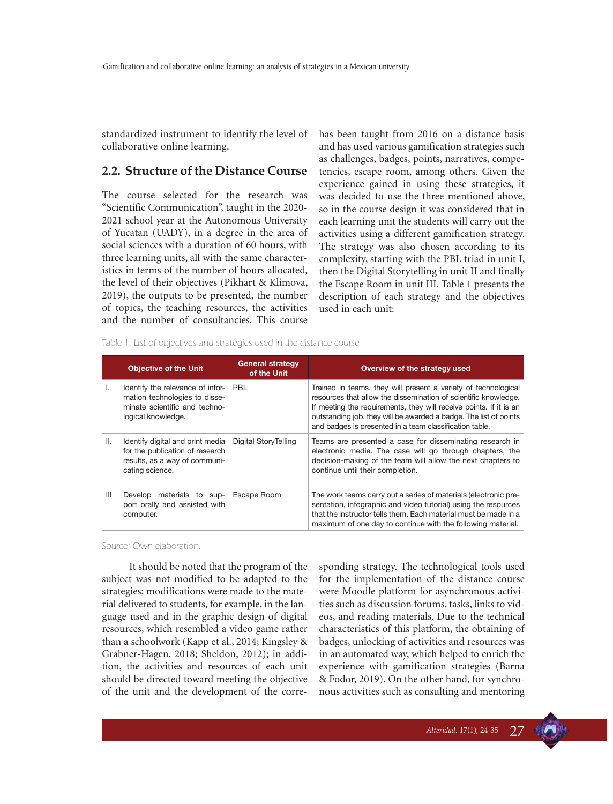standardized instrument to identify the level of collaborative online learning.

#### **2.2. Structure of the Distance Course**

The course selected for the research was "Scientific Communication", taught in the 2020- 2021 school year at the Autonomous University of Yucatan (UADY), in a degree in the area of social sciences with a duration of 60 hours, with three learning units, all with the same characteristics in terms of the number of hours allocated, the level of their objectives (Pikhart & Klimova, 2019), the outputs to be presented, the number of topics, the teaching resources, the activities and the number of consultancies. This course

has been taught from 2016 on a distance basis and has used various gamification strategies such as challenges, badges, points, narratives, competencies, escape room, among others. Given the experience gained in using these strategies, it was decided to use the three mentioned above, so in the course design it was considered that in each learning unit the students will carry out the activities using a different gamification strategy. The strategy was also chosen according to its complexity, starting with the PBL triad in unit I, then the Digital Storytelling in unit II and finally the Escape Room in unit III. Table 1 presents the description of each strategy and the objectives used in each unit:

|  |  | Table 1. List of objectives and strategies used in the distance course |  |  |
|--|--|------------------------------------------------------------------------|--|--|
|  |  |                                                                        |  |  |

|     | <b>Objective of the Unit</b>                                                                                             | <b>General strategy</b><br>of the Unit | Overview of the strategy used                                                                                                                                                                                                                                                                                                           |
|-----|--------------------------------------------------------------------------------------------------------------------------|----------------------------------------|-----------------------------------------------------------------------------------------------------------------------------------------------------------------------------------------------------------------------------------------------------------------------------------------------------------------------------------------|
| ı.  | Identify the relevance of infor-<br>mation technologies to disse-<br>minate scientific and techno-<br>logical knowledge. | <b>PBL</b>                             | Trained in teams, they will present a variety of technological<br>resources that allow the dissemination of scientific knowledge.<br>If meeting the requirements, they will receive points. If it is an<br>outstanding job, they will be awarded a badge. The list of points<br>and badges is presented in a team classification table. |
| Ш.  | Identify digital and print media<br>for the publication of research<br>results, as a way of communi-<br>cating science.  | Digital StoryTelling                   | Teams are presented a case for disseminating research in<br>electronic media. The case will go through chapters, the<br>decision-making of the team will allow the next chapters to<br>continue until their completion.                                                                                                                 |
| III | Develop materials to sup-<br>port orally and assisted with<br>computer.                                                  | Escape Room                            | The work teams carry out a series of materials (electronic pre-<br>sentation, infographic and video tutorial) using the resources<br>that the instructor tells them. Each material must be made in a<br>maximum of one day to continue with the following material.                                                                     |

Source: Own elaboration.

It should be noted that the program of the subject was not modified to be adapted to the strategies; modifications were made to the material delivered to students, for example, in the language used and in the graphic design of digital resources, which resembled a video game rather than a schoolwork (Kapp et al., 2014; Kingsley & Grabner-Hagen, 2018; Sheldon, 2012); in addition, the activities and resources of each unit should be directed toward meeting the objective of the unit and the development of the corresponding strategy. The technological tools used for the implementation of the distance course were Moodle platform for asynchronous activities such as discussion forums, tasks, links to videos, and reading materials. Due to the technical characteristics of this platform, the obtaining of badges, unlocking of activities and resources was in an automated way, which helped to enrich the experience with gamification strategies (Barna & Fodor, 2019). On the other hand, for synchronous activities such as consulting and mentoring

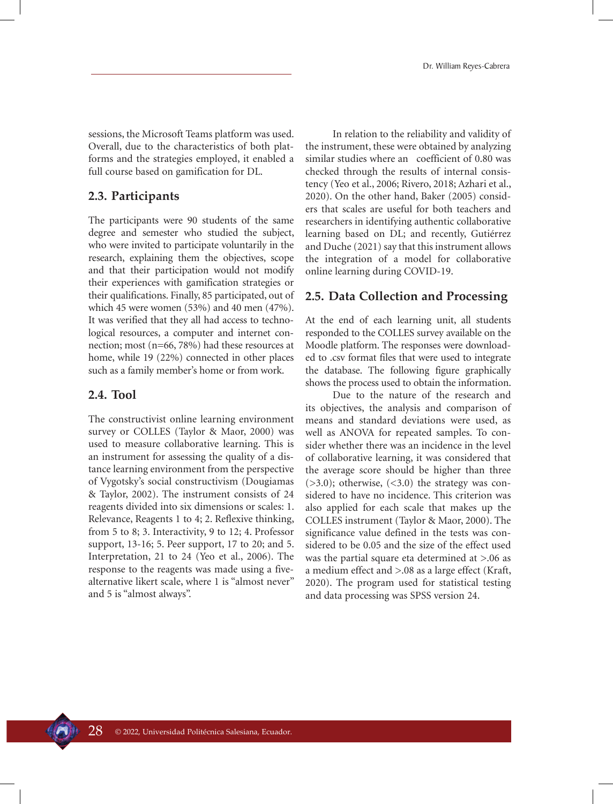sessions, the Microsoft Teams platform was used. Overall, due to the characteristics of both platforms and the strategies employed, it enabled a full course based on gamification for DL.

## **2.3. Participants**

The participants were 90 students of the same degree and semester who studied the subject, who were invited to participate voluntarily in the research, explaining them the objectives, scope and that their participation would not modify their experiences with gamification strategies or their qualifications. Finally, 85 participated, out of which 45 were women (53%) and 40 men (47%). It was verified that they all had access to technological resources, a computer and internet connection; most (n=66, 78%) had these resources at home, while 19 (22%) connected in other places such as a family member's home or from work.

#### **2.4. Tool**

The constructivist online learning environment survey or COLLES (Taylor & Maor, 2000) was used to measure collaborative learning. This is an instrument for assessing the quality of a distance learning environment from the perspective of Vygotsky's social constructivism (Dougiamas & Taylor, 2002). The instrument consists of 24 reagents divided into six dimensions or scales: 1. Relevance, Reagents 1 to 4; 2. Reflexive thinking, from 5 to 8; 3. Interactivity, 9 to 12; 4. Professor support, 13-16; 5. Peer support, 17 to 20; and 5. Interpretation, 21 to 24 (Yeo et al., 2006). The response to the reagents was made using a fivealternative likert scale, where 1 is "almost never" and 5 is "almost always".

In relation to the reliability and validity of the instrument, these were obtained by analyzing similar studies where an coefficient of 0.80 was checked through the results of internal consistency (Yeo et al., 2006; Rivero, 2018; Azhari et al., 2020). On the other hand, Baker (2005) considers that scales are useful for both teachers and researchers in identifying authentic collaborative learning based on DL; and recently, Gutiérrez and Duche (2021) say that this instrument allows the integration of a model for collaborative online learning during COVID-19.

#### **2.5. Data Collection and Processing**

At the end of each learning unit, all students responded to the COLLES survey available on the Moodle platform. The responses were downloaded to .csv format files that were used to integrate the database. The following figure graphically shows the process used to obtain the information.

Due to the nature of the research and its objectives, the analysis and comparison of means and standard deviations were used, as well as ANOVA for repeated samples. To consider whether there was an incidence in the level of collaborative learning, it was considered that the average score should be higher than three  $(>3.0)$ ; otherwise,  $(<3.0)$  the strategy was considered to have no incidence. This criterion was also applied for each scale that makes up the COLLES instrument (Taylor & Maor, 2000). The significance value defined in the tests was considered to be 0.05 and the size of the effect used was the partial square eta determined at >.06 as a medium effect and >.08 as a large effect (Kraft, 2020). The program used for statistical testing and data processing was SPSS version 24.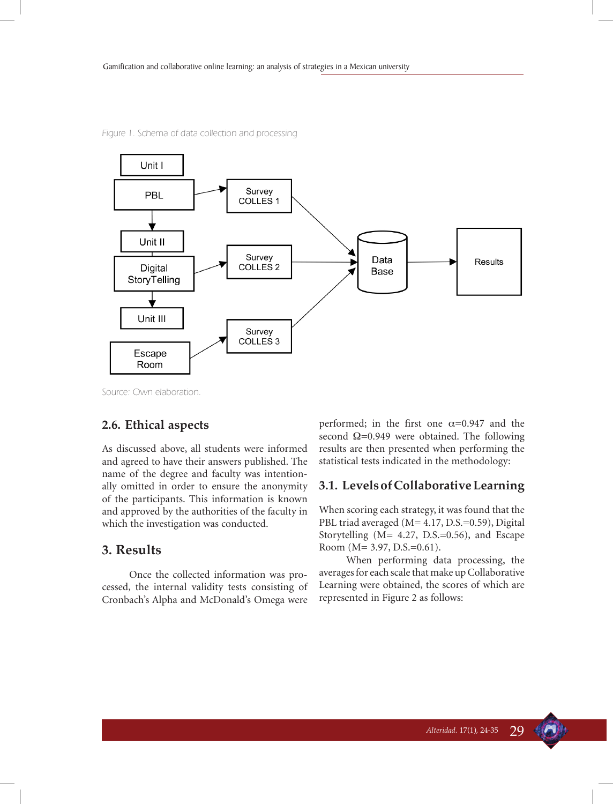

Figure 1. Schema of data collection and processing

Source: Own elaboration.

#### **2.6. Ethical aspects**

As discussed above, all students were informed and agreed to have their answers published. The name of the degree and faculty was intentionally omitted in order to ensure the anonymity of the participants. This information is known and approved by the authorities of the faculty in which the investigation was conducted.

## **3. Results**

Once the collected information was processed, the internal validity tests consisting of Cronbach's Alpha and McDonald's Omega were performed; in the first one  $\alpha$ =0.947 and the second  $\Omega$ =0.949 were obtained. The following results are then presented when performing the statistical tests indicated in the methodology:

#### **3.1. Levels of Collaborative Learning**

When scoring each strategy, it was found that the PBL triad averaged (M= 4.17, D.S.=0.59), Digital Storytelling (M= 4.27, D.S.=0.56), and Escape Room (M= 3.97, D.S.=0.61).

When performing data processing, the averages for each scale that make up Collaborative Learning were obtained, the scores of which are represented in Figure 2 as follows: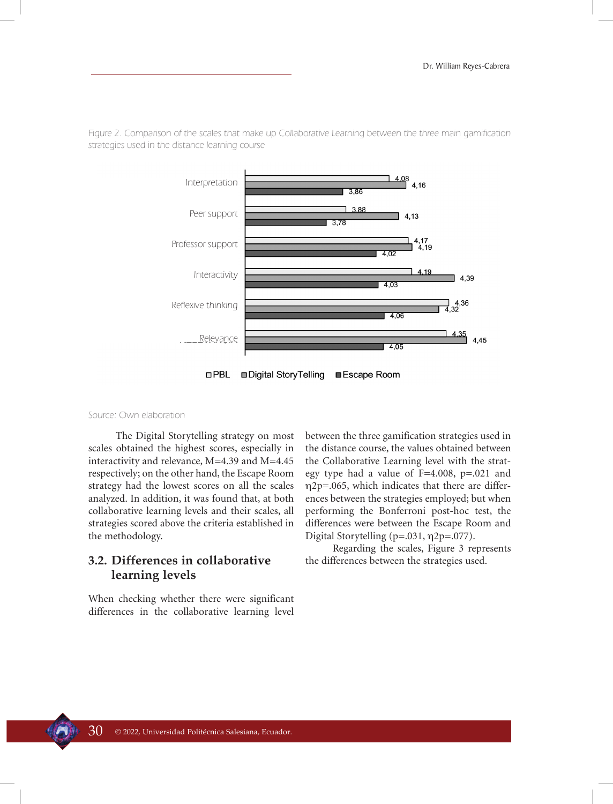

Figure 2. Comparison of the scales that make up Collaborative Learning between the three main gamification strategies used in the distance learning course

□PBL □ Digital StoryTelling ■Escape Room

#### Source: Own elaboration

The Digital Storytelling strategy on most scales obtained the highest scores, especially in interactivity and relevance, M=4.39 and M=4.45 respectively; on the other hand, the Escape Room strategy had the lowest scores on all the scales analyzed. In addition, it was found that, at both collaborative learning levels and their scales, all strategies scored above the criteria established in the methodology.

# **3.2. Differences in collaborative learning levels**

When checking whether there were significant differences in the collaborative learning level between the three gamification strategies used in the distance course, the values obtained between the Collaborative Learning level with the strategy type had a value of F=4.008, p=.021 and η2p=.065, which indicates that there are differences between the strategies employed; but when performing the Bonferroni post-hoc test, the differences were between the Escape Room and Digital Storytelling (p=.031, η2p=.077).

Regarding the scales, Figure 3 represents the differences between the strategies used.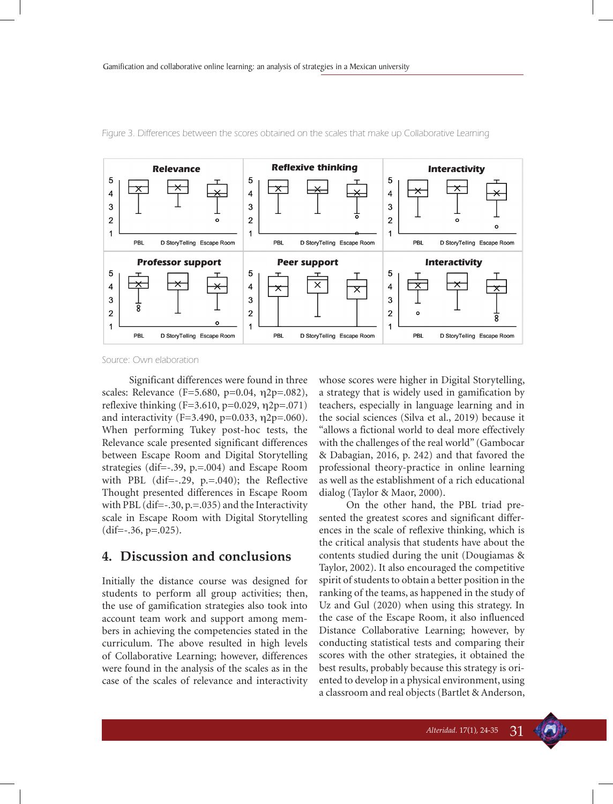![](_page_7_Figure_1.jpeg)

Figure 3. Differences between the scores obtained on the scales that make up Collaborative Learning

Source: Own elaboration

Significant differences were found in three scales: Relevance (F=5.680, p=0.04, η2p=.082), reflexive thinking  $(F=3.610, p=0.029, \eta_2=0.071)$ and interactivity (F=3.490, p=0.033,  $\eta$ 2p=.060). When performing Tukey post-hoc tests, the Relevance scale presented significant differences between Escape Room and Digital Storytelling strategies (dif=-.39, p.=.004) and Escape Room with PBL  $(dif=-.29, p==.040)$ ; the Reflective Thought presented differences in Escape Room with PBL (dif=-.30, p.=.035) and the Interactivity scale in Escape Room with Digital Storytelling  $(dif=-.36, p=.025)$ .

# **4. Discussion and conclusions**

Initially the distance course was designed for students to perform all group activities; then, the use of gamification strategies also took into account team work and support among members in achieving the competencies stated in the curriculum. The above resulted in high levels of Collaborative Learning; however, differences were found in the analysis of the scales as in the case of the scales of relevance and interactivity whose scores were higher in Digital Storytelling, a strategy that is widely used in gamification by teachers, especially in language learning and in the social sciences (Silva et al., 2019) because it "allows a fictional world to deal more effectively with the challenges of the real world" (Gambocar & Dabagian, 2016, p. 242) and that favored the professional theory-practice in online learning as well as the establishment of a rich educational dialog (Taylor & Maor, 2000).

On the other hand, the PBL triad presented the greatest scores and significant differences in the scale of reflexive thinking, which is the critical analysis that students have about the contents studied during the unit (Dougiamas & Taylor, 2002). It also encouraged the competitive spirit of students to obtain a better position in the ranking of the teams, as happened in the study of Uz and Gul (2020) when using this strategy. In the case of the Escape Room, it also influenced Distance Collaborative Learning; however, by conducting statistical tests and comparing their scores with the other strategies, it obtained the best results, probably because this strategy is oriented to develop in a physical environment, using a classroom and real objects (Bartlet & Anderson,

![](_page_7_Picture_10.jpeg)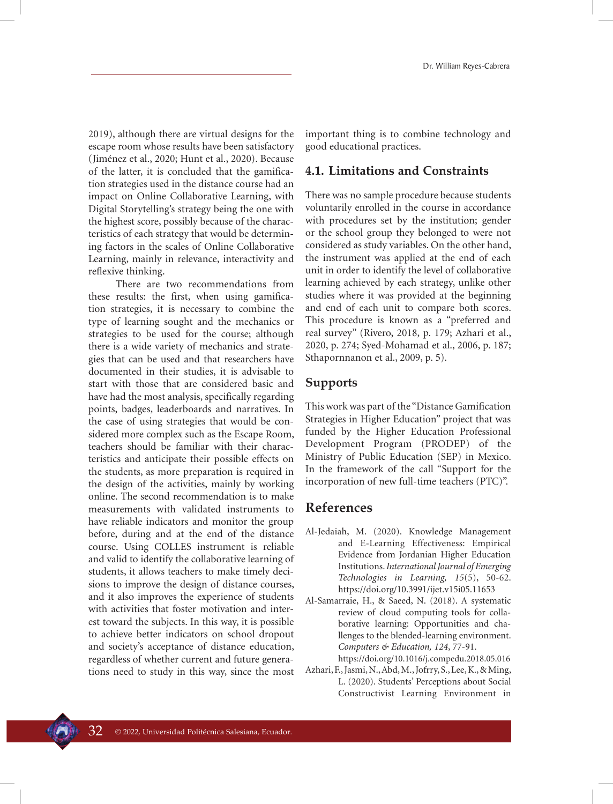2019), although there are virtual designs for the escape room whose results have been satisfactory (Jiménez et al., 2020; Hunt et al., 2020). Because of the latter, it is concluded that the gamification strategies used in the distance course had an impact on Online Collaborative Learning, with Digital Storytelling's strategy being the one with the highest score, possibly because of the characteristics of each strategy that would be determining factors in the scales of Online Collaborative Learning, mainly in relevance, interactivity and reflexive thinking.

There are two recommendations from these results: the first, when using gamification strategies, it is necessary to combine the type of learning sought and the mechanics or strategies to be used for the course; although there is a wide variety of mechanics and strategies that can be used and that researchers have documented in their studies, it is advisable to start with those that are considered basic and have had the most analysis, specifically regarding points, badges, leaderboards and narratives. In the case of using strategies that would be considered more complex such as the Escape Room, teachers should be familiar with their characteristics and anticipate their possible effects on the students, as more preparation is required in the design of the activities, mainly by working online. The second recommendation is to make measurements with validated instruments to have reliable indicators and monitor the group before, during and at the end of the distance course. Using COLLES instrument is reliable and valid to identify the collaborative learning of students, it allows teachers to make timely decisions to improve the design of distance courses, and it also improves the experience of students with activities that foster motivation and interest toward the subjects. In this way, it is possible to achieve better indicators on school dropout and society's acceptance of distance education, regardless of whether current and future generations need to study in this way, since the most important thing is to combine technology and good educational practices.

## **4.1. Limitations and Constraints**

There was no sample procedure because students voluntarily enrolled in the course in accordance with procedures set by the institution; gender or the school group they belonged to were not considered as study variables. On the other hand, the instrument was applied at the end of each unit in order to identify the level of collaborative learning achieved by each strategy, unlike other studies where it was provided at the beginning and end of each unit to compare both scores. This procedure is known as a "preferred and real survey" (Rivero, 2018, p. 179; Azhari et al., 2020, p. 274; Syed-Mohamad et al., 2006, p. 187; Sthapornnanon et al., 2009, p. 5).

# **Supports**

This work was part of the "Distance Gamification Strategies in Higher Education" project that was funded by the Higher Education Professional Development Program (PRODEP) of the Ministry of Public Education (SEP) in Mexico. In the framework of the call "Support for the incorporation of new full-time teachers (PTC)".

# **References**

- Al-Jedaiah, M. (2020). Knowledge Management and E-Learning Effectiveness: Empirical Evidence from Jordanian Higher Education Institutions. *International Journal of Emerging Technologies in Learning, 15*(5), 50-62. https://doi.org/10.3991/ijet.v15i05.11653
- Al-Samarraie, H., & Saeed, N. (2018). A systematic review of cloud computing tools for collaborative learning: Opportunities and challenges to the blended-learning environment. *Computers & Education, 124*, 77-91.

https://doi.org/10.1016/j.compedu.2018.05.016

Azhari, F., Jasmi, N., Abd, M., Jofrry, S., Lee, K., & Ming, L. (2020). Students' Perceptions about Social Constructivist Learning Environment in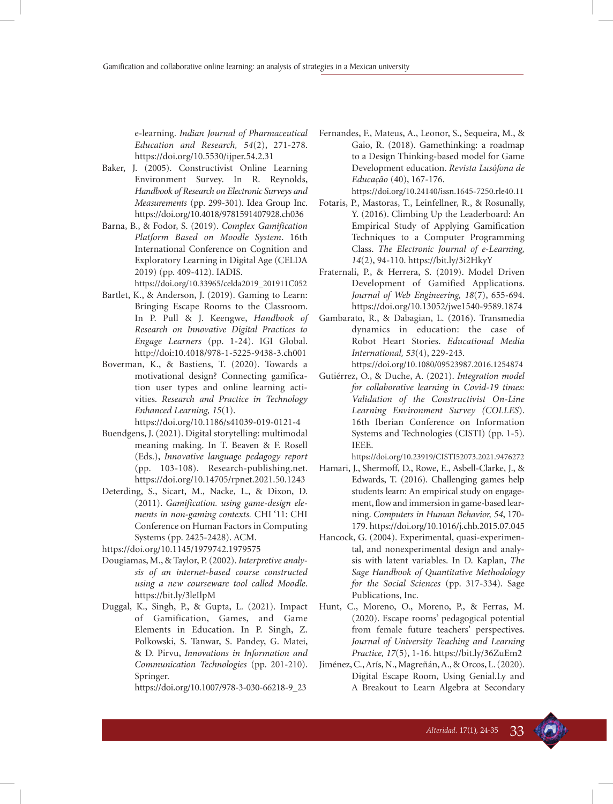e-learning. *Indian Journal of Pharmaceutical Education and Research, 54*(2), 271-278. https://doi.org/10.5530/ijper.54.2.31

- Baker, J. (2005). Constructivist Online Learning Environment Survey. In R. Reynolds, *Handbook of Research on Electronic Surveys and Measurements* (pp. 299-301). Idea Group Inc. https://doi.org/10.4018/9781591407928.ch036
- Barna, B., & Fodor, S. (2019). *Complex Gamification Platform Based on Moodle System*. 16th International Conference on Cognition and Exploratory Learning in Digital Age (CELDA 2019) (pp. 409-412). IADIS.

https://doi.org/10.33965/celda2019\_201911C052

- Bartlet, K., & Anderson, J. (2019). Gaming to Learn: Bringing Escape Rooms to the Classroom. In P. Pull & J. Keengwe, *Handbook of Research on Innovative Digital Practices to Engage Learners* (pp. 1-24). IGI Global. http://doi:10.4018/978-1-5225-9438-3.ch001
- Boverman, K., & Bastiens, T. (2020). Towards a motivational design? Connecting gamification user types and online learning activities. *Research and Practice in Technology Enhanced Learning, 15*(1).

https://doi.org/10.1186/s41039-019-0121-4

- Buendgens, J. (2021). Digital storytelling: multimodal meaning making. In T. Beaven & F. Rosell (Eds.), *Innovative language pedagogy report* (pp. 103-108). Research-publishing.net. https://doi.org/10.14705/rpnet.2021.50.1243
- Deterding, S., Sicart, M., Nacke, L., & Dixon, D. (2011). *Gamification. using game-design elements in non-gaming contexts.* CHI '11: CHI Conference on Human Factors in Computing Systems (pp. 2425-2428). ACM.

https://doi.org/10.1145/1979742.1979575

- Dougiamas, M., & Taylor, P. (2002). *Interpretive analysis of an internet-based course constructed using a new courseware tool called Moodle*. https://bit.ly/3leIlpM
- Duggal, K., Singh, P., & Gupta, L. (2021). Impact of Gamification, Games, and Game Elements in Education. In P. Singh, Z. Polkowski, S. Tanwar, S. Pandey, G. Matei, & D. Pirvu, *Innovations in Information and Communication Technologies* (pp. 201-210). Springer.

https://doi.org/10.1007/978-3-030-66218-9\_23

Fernandes, F., Mateus, A., Leonor, S., Sequeira, M., & Gaio, R. (2018). Gamethinking: a roadmap to a Design Thinking-based model for Game Development education. *Revista Lusófona de Educação* (40), 167-176.

https://doi.org/10.24140/issn.1645-7250.rle40.11

- Fotaris, P., Mastoras, T., Leinfellner, R., & Rosunally, Y. (2016). Climbing Up the Leaderboard: An Empirical Study of Applying Gamification Techniques to a Computer Programming Class. *The Electronic Journal of e-Learning, 14*(2), 94-110. https://bit.ly/3i2HkyY
- Fraternali, P., & Herrera, S. (2019). Model Driven Development of Gamified Applications. *Journal of Web Engineering, 18*(7), 655-694. https://doi.org/10.13052/jwe1540-9589.1874
- Gambarato, R., & Dabagian, L. (2016). Transmedia dynamics in education: the case of Robot Heart Stories. *Educational Media International, 53*(4), 229-243.

https://doi.org/10.1080/09523987.2016.1254874

Gutiérrez, O., & Duche, A. (2021). *Integration model for collaborative learning in Covid-19 times: Validation of the Constructivist On-Line Learning Environment Survey (COLLES*). 16th Iberian Conference on Information Systems and Technologies (CISTI) (pp. 1-5). IEEE.

https://doi.org/10.23919/CISTI52073.2021.9476272

- Hamari, J., Shermoff, D., Rowe, E., Asbell-Clarke, J., & Edwards, T. (2016). Challenging games help students learn: An empirical study on engagement, flow and immersion in game-based learning. *Computers in Human Behavior, 54*, 170- 179. https://doi.org/10.1016/j.chb.2015.07.045
- Hancock, G. (2004). Experimental, quasi-experimental, and nonexperimental design and analysis with latent variables. In D. Kaplan, *The Sage Handbook of Quantitative Methodology for the Social Sciences* (pp. 317-334). Sage Publications, Inc.
- Hunt, C., Moreno, O., Moreno, P., & Ferras, M. (2020). Escape rooms' pedagogical potential from female future teachers' perspectives. *Journal of University Teaching and Learning Practice, 17*(5), 1-16. https://bit.ly/36ZuEm2
- Jiménez, C., Arís, N., Magreñán, A., & Orcos, L. (2020). Digital Escape Room, Using Genial.Ly and A Breakout to Learn Algebra at Secondary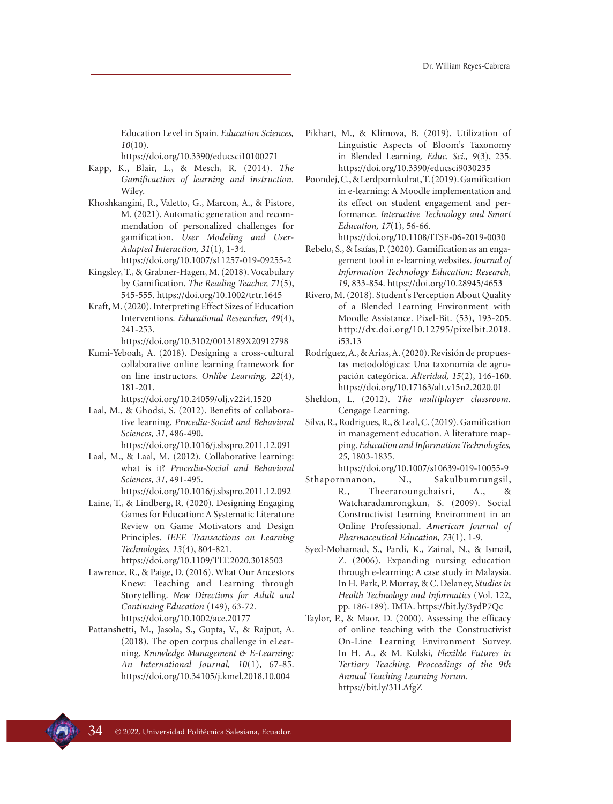Education Level in Spain. *Education Sciences, 10*(10).

https://doi.org/10.3390/educsci10100271

- Kapp, K., Blair, L., & Mesch, R. (2014). *The Gamificaction of learning and instruction.* Wiley.
- Khoshkangini, R., Valetto, G., Marcon, A., & Pistore, M. (2021). Automatic generation and recommendation of personalized challenges for gamification. *User Modeling and User-Adapted Interaction, 31*(1), 1-34.
- https://doi.org/10.1007/s11257-019-09255-2
- Kingsley, T., & Grabner-Hagen, M. (2018). Vocabulary by Gamification. *The Reading Teacher, 71*(5), 545-555. https://doi.org/10.1002/trtr.1645
- Kraft, M. (2020). Interpreting Effect Sizes of Education Interventions. *Educational Researcher, 49*(4), 241-253.
	- https://doi.org/10.3102/0013189X20912798
- Kumi-Yeboah, A. (2018). Designing a cross-cultural collaborative online learning framework for on line instructors. *Onlibe Learning, 22*(4), 181-201.

https://doi.org/10.24059/olj.v22i4.1520

- Laal, M., & Ghodsi, S. (2012). Benefits of collaborative learning. *Procedia-Social and Behavioral Sciences, 31*, 486-490. https://doi.org/10.1016/j.sbspro.2011.12.091
- Laal, M., & Laal, M. (2012). Collaborative learning: what is it? *Procedia-Social and Behavioral Sciences, 31*, 491-495.
	- https://doi.org/10.1016/j.sbspro.2011.12.092
- Laine, T., & Lindberg, R. (2020). Designing Engaging Games for Education: A Systematic Literature Review on Game Motivators and Design Principles. *IEEE Transactions on Learning Technologies, 13*(4), 804-821.

https://doi.org/10.1109/TLT.2020.3018503

- Lawrence, R., & Paige, D. (2016). What Our Ancestors Knew: Teaching and Learning through Storytelling. *New Directions for Adult and Continuing Education* (149), 63-72. https://doi.org/10.1002/ace.20177
- Pattanshetti, M., Jasola, S., Gupta, V., & Rajput, A. (2018). The open corpus challenge in eLearning. *Knowledge Management & E-Learning: An International Journal, 10*(1), 67-85. https://doi.org/10.34105/j.kmel.2018.10.004
- Pikhart, M., & Klimova, B. (2019). Utilization of Linguistic Aspects of Bloom's Taxonomy in Blended Learning. *Educ. Sci., 9*(3), 235. https://doi.org/10.3390/educsci9030235
- Poondej, C., & Lerdpornkulrat, T. (2019). Gamification in e-learning: A Moodle implementation and its effect on student engagement and performance. *Interactive Technology and Smart Education, 17*(1), 56-66.

https://doi.org/10.1108/ITSE-06-2019-0030 Rebelo, S., & Isaías, P. (2020). Gamification as an enga-

- gement tool in e-learning websites. *Journal of Information Technology Education: Research, 19*, 833-854. https://doi.org/10.28945/4653
- Rivero, M. (2018). Student ́s Perception About Quality of a Blended Learning Environment with Moodle Assistance. Pixel-Bit. (53), 193-205. http://dx.doi.org/10.12795/pixelbit.2018. i53.13
- Rodríguez, A., & Arias, A. (2020). Revisión de propuestas metodológicas: Una taxonomía de agrupación categórica. *Alteridad, 15*(2), 146-160. https://doi.org/10.17163/alt.v15n2.2020.01
- Sheldon, L. (2012). *The multiplayer classroom.*  Cengage Learning.
- Silva, R., Rodrigues, R., & Leal, C. (2019). Gamification in management education. A literature mapping. *Education and Information Technologies, 25*, 1803-1835.
- https://doi.org/10.1007/s10639-019-10055-9 Sthapornnanon, N., Sakulbumrungsil, R., Theeraroungchaisri, A., & Watcharadamrongkun, S. (2009). Social Constructivist Learning Environment in an Online Professional. *American Journal of Pharmaceutical Education, 73*(1), 1-9.
- Syed-Mohamad, S., Pardi, K., Zainal, N., & Ismail, Z. (2006). Expanding nursing education through e-learning: A case study in Malaysia. In H. Park, P. Murray, & C. Delaney, *Studies in Health Technology and Informatics* (Vol. 122, pp. 186-189). IMIA. https://bit.ly/3ydP7Qc
- Taylor, P., & Maor, D. (2000). Assessing the efficacy of online teaching with the Constructivist On-Line Learning Environment Survey. In H. A., & M. Kulski, *Flexible Futures in Tertiary Teaching. Proceedings of the 9th Annual Teaching Learning Forum*. https://bit.ly/31LAfgZ